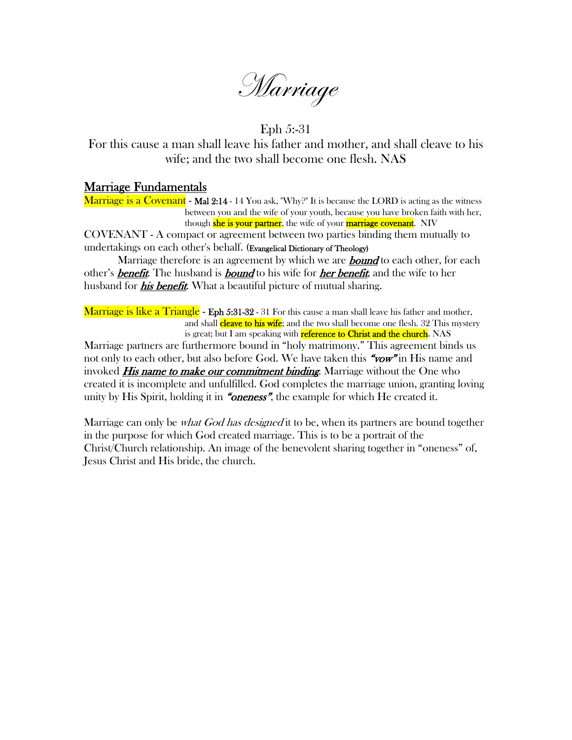Marriage

Eph 5:-31

For this cause a man shall leave his father and mother, and shall cleave to his wife; and the two shall become one flesh. NAS

## Marriage Fundamentals

**Marriage is a Covenant - Mal 2:14 -** 14 You ask, "Why?" It is because the LORD is acting as the witness between you and the wife of your youth, because you have broken faith with her, though **she is your partner**, the wife of your **marriage covenant**. NIV

COVENANT - A compact or agreement between two parties binding them mutually to undertakings on each other's behalf. (Evangelical Dictionary of Theology)

Marriage therefore is an agreement by which we are **bound** to each other, for each other's **benefit.** The husband is **bound** to his wife for **her benefit**, and the wife to her husband for *his benefit*. What a beautiful picture of mutual sharing.

**Marriage is like a Triangle - Eph 5:31-32** - 31 For this cause a man shall leave his father and mother, and shall **cleave to his wife**; and the two shall become one flesh. 32 This mystery is great; but I am speaking with **reference to Christ and the church**. NAS

Marriage partners are furthermore bound in "holy matrimony." This agreement binds us not only to each other, but also before God. We have taken this "vow" in His name and invoked *His name to make our commitment binding*. Marriage without the One who created it is incomplete and unfulfilled. God completes the marriage union, granting loving unity by His Spirit, holding it in "*oneness*", the example for which He created it.

Marriage can only be *what God has designed* it to be, when its partners are bound together in the purpose for which God created marriage. This is to be a portrait of the Christ/Church relationship. An image of the benevolent sharing together in "oneness" of, Jesus Christ and His bride, the church.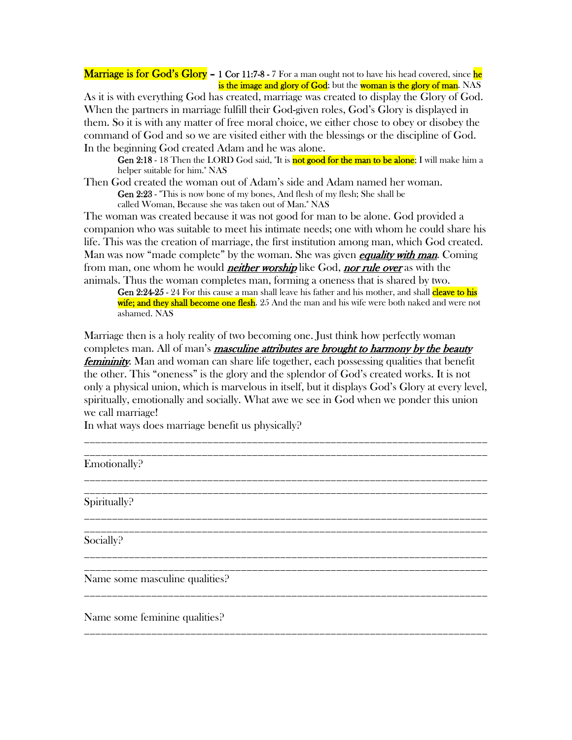#### **Marriage is for God's Glory – 1 Cor 11:7-8 -** 7 For a man ought not to have his head covered, since he is the image and glory of God; but the woman is the glory of man. NAS

As it is with everything God has created, marriage was created to display the Glory of God. When the partners in marriage fulfill their God-given roles, God's Glory is displayed in them. So it is with any matter of free moral choice, we either chose to obey or disobey the command of God and so we are visited either with the blessings or the discipline of God. In the beginning God created Adam and he was alone.

Gen 2:18 - 18 Then the LORD God said, "It is not good for the man to be alone; I will make him a helper suitable for him." NAS

Then God created the woman out of Adam's side and Adam named her woman. Gen 2:23 - "This is now bone of my bones, And flesh of my flesh; She shall be called Woman, Because she was taken out of Man." NAS

The woman was created because it was not good for man to be alone. God provided a companion who was suitable to meet his intimate needs; one with whom he could share his life. This was the creation of marriage, the first institution among man, which God created. Man was now "made complete" by the woman. She was given *equality with man*. Coming from man, one whom he would *neither worship* like God, *nor rule over* as with the animals. Thus the woman completes man, forming a oneness that is shared by two.

Gen 2:24-25 - 24 For this cause a man shall leave his father and his mother, and shall cleave to his wife; and they shall become one flesh. 25 And the man and his wife were both naked and were not ashamed. NAS

Marriage then is a holy reality of two becoming one. Just think how perfectly woman completes man. All of man's **masculine attributes are brought to harmony by the beauty** *femininity*. Man and woman can share life together, each possessing qualities that benefit the other. This "oneness" is the glory and the splendor of God's created works. It is not only a physical union, which is marvelous in itself, but it displays God's Glory at every level, spiritually, emotionally and socially. What awe we see in God when we ponder this union we call marriage!

\_\_\_\_\_\_\_\_\_\_\_\_\_\_\_\_\_\_\_\_\_\_\_\_\_\_\_\_\_\_\_\_\_\_\_\_\_\_\_\_\_\_\_\_\_\_\_\_\_\_\_\_\_\_\_\_\_\_\_\_\_\_\_\_\_\_\_\_\_\_\_\_ \_\_\_\_\_\_\_\_\_\_\_\_\_\_\_\_\_\_\_\_\_\_\_\_\_\_\_\_\_\_\_\_\_\_\_\_\_\_\_\_\_\_\_\_\_\_\_\_\_\_\_\_\_\_\_\_\_\_\_\_\_\_\_\_\_\_\_\_\_\_\_\_

\_\_\_\_\_\_\_\_\_\_\_\_\_\_\_\_\_\_\_\_\_\_\_\_\_\_\_\_\_\_\_\_\_\_\_\_\_\_\_\_\_\_\_\_\_\_\_\_\_\_\_\_\_\_\_\_\_\_\_\_\_\_\_\_\_\_\_\_\_\_\_\_

\_\_\_\_\_\_\_\_\_\_\_\_\_\_\_\_\_\_\_\_\_\_\_\_\_\_\_\_\_\_\_\_\_\_\_\_\_\_\_\_\_\_\_\_\_\_\_\_\_\_\_\_\_\_\_\_\_\_\_\_\_\_\_\_\_\_\_\_\_\_\_\_

\_\_\_\_\_\_\_\_\_\_\_\_\_\_\_\_\_\_\_\_\_\_\_\_\_\_\_\_\_\_\_\_\_\_\_\_\_\_\_\_\_\_\_\_\_\_\_\_\_\_\_\_\_\_\_\_\_\_\_\_\_\_\_\_\_\_\_\_\_\_\_\_ \_\_\_\_\_\_\_\_\_\_\_\_\_\_\_\_\_\_\_\_\_\_\_\_\_\_\_\_\_\_\_\_\_\_\_\_\_\_\_\_\_\_\_\_\_\_\_\_\_\_\_\_\_\_\_\_\_\_\_\_\_\_\_\_\_\_\_\_\_\_\_\_

\_\_\_\_\_\_\_\_\_\_\_\_\_\_\_\_\_\_\_\_\_\_\_\_\_\_\_\_\_\_\_\_\_\_\_\_\_\_\_\_\_\_\_\_\_\_\_\_\_\_\_\_\_\_\_\_\_\_\_\_\_\_\_\_\_\_\_\_\_\_\_\_

\_\_\_\_\_\_\_\_\_\_\_\_\_\_\_\_\_\_\_\_\_\_\_\_\_\_\_\_\_\_\_\_\_\_\_\_\_\_\_\_\_\_\_\_\_\_\_\_\_\_\_\_\_\_\_\_\_\_\_\_\_\_\_\_\_\_\_\_\_\_\_\_

In what ways does marriage benefit us physically?

Emotionally?

\_\_\_\_\_\_\_\_\_\_\_\_\_\_\_\_\_\_\_\_\_\_\_\_\_\_\_\_\_\_\_\_\_\_\_\_\_\_\_\_\_\_\_\_\_\_\_\_\_\_\_\_\_\_\_\_\_\_\_\_\_\_\_\_\_\_\_\_\_\_\_\_ Spiritually?

\_\_\_\_\_\_\_\_\_\_\_\_\_\_\_\_\_\_\_\_\_\_\_\_\_\_\_\_\_\_\_\_\_\_\_\_\_\_\_\_\_\_\_\_\_\_\_\_\_\_\_\_\_\_\_\_\_\_\_\_\_\_\_\_\_\_\_\_\_\_\_\_ Socially?

Name some masculine qualities?

Name some feminine qualities?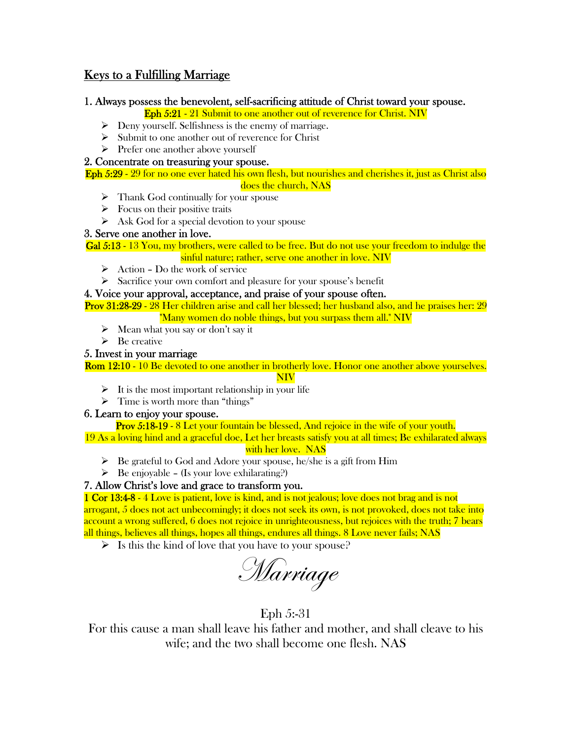## Keys to a Fulfilling Marriage

#### 1. Always possess the benevolent, self-sacrificing attitude of Christ toward your spouse.

Eph 5:21 - 21 Submit to one another out of reverence for Christ. NIV

- $\triangleright$  Deny yourself. Selfishness is the enemy of marriage.
- $\triangleright$  Submit to one another out of reverence for Christ
- $\triangleright$  Prefer one another above yourself

#### 2. Concentrate on treasuring your spouse.

Eph 5:29 - 29 for no one ever hated his own flesh, but nourishes and cherishes it, just as Christ also

- does the church, NAS
- $\triangleright$  Thank God continually for your spouse
- $\triangleright$  Focus on their positive traits
- $\triangleright$  Ask God for a special devotion to your spouse

#### 3. Serve one another in love.

Gal 5:13 - 13 You, my brothers, were called to be free. But do not use your freedom to indulge the sinful nature; rather, serve one another in love. NIV

- $\triangleright$  Action Do the work of service
- $\triangleright$  Sacrifice your own comfort and pleasure for your spouse's benefit

#### 4. Voice your approval, acceptance, and praise of your spouse often.

Prov 31:28-29 - 28 Her children arise and call her blessed; her husband also, and he praises her: 29 "Many women do noble things, but you surpass them all." NIV

- $\triangleright$  Mean what you say or don't say it
- $\triangleright$  Be creative

## 5. Invest in your marriage

Rom 12:10 - 10 Be devoted to one another in brotherly love. Honor one another above yourselves.

#### NIV

- $\triangleright$  It is the most important relationship in your life
- $\triangleright$  Time is worth more than "things"

## 6. Learn to enjoy your spouse.

Prov 5:18-19 - 8 Let your fountain be blessed, And rejoice in the wife of your youth.

19 As a loving hind and a graceful doe, Let her breasts satisfy you at all times; Be exhilarated always with her love. NAS

- $\triangleright$  Be grateful to God and Adore your spouse, he/she is a gift from Him
- $\triangleright$  Be enjoyable (Is your love exhilarating?)

## 7. Allow Christ's love and grace to transform you.

1 Cor 13:4-8 - 4 Love is patient, love is kind, and is not jealous; love does not brag and is not arrogant, 5 does not act unbecomingly; it does not seek its own, is not provoked, does not take into account a wrong suffered, 6 does not rejoice in unrighteousness, but rejoices with the truth; 7 bears all things, believes all things, hopes all things, endures all things. 8 Love never fails; NAS

 $\triangleright$  Is this the kind of love that you have to your spouse?

Marriage

## Eph 5:-31

For this cause a man shall leave his father and mother, and shall cleave to his wife; and the two shall become one flesh. NAS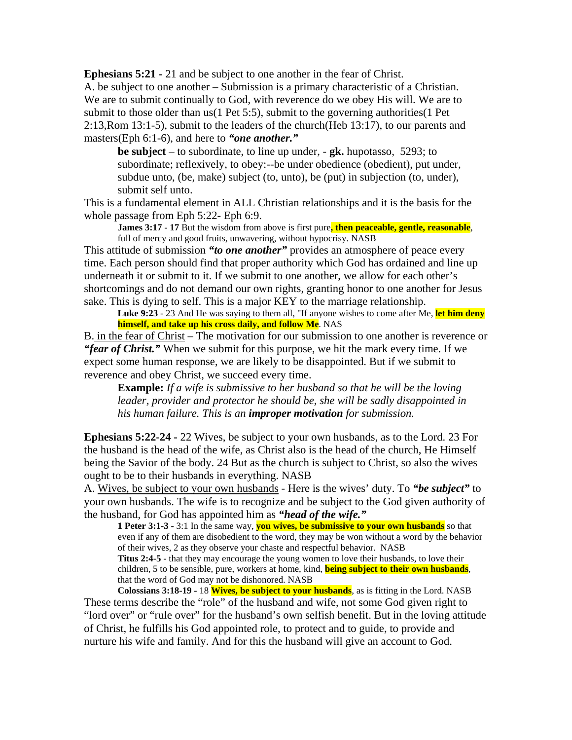**Ephesians 5:21 -** 21 and be subject to one another in the fear of Christ. A. be subject to one another – Submission is a primary characteristic of a Christian. We are to submit continually to God, with reverence do we obey His will. We are to submit to those older than us(1 Pet 5:5), submit to the governing authorities(1 Pet 2:13,Rom 13:1-5), submit to the leaders of the church(Heb 13:17), to our parents and masters(Eph 6:1-6), and here to *"one another."*

**be subject** – to subordinate, to line up under, - **gk.** hupotasso, 5293; to subordinate; reflexively, to obey:--be under obedience (obedient), put under, subdue unto, (be, make) subject (to, unto), be (put) in subjection (to, under), submit self unto.

This is a fundamental element in ALL Christian relationships and it is the basis for the whole passage from Eph 5:22- Eph 6:9.

**James 3:17 - 17** But the wisdom from above is first pure, then peaceable, gentle, reasonable, full of mercy and good fruits, unwavering, without hypocrisy. NASB

This attitude of submission *"to one another"* provides an atmosphere of peace every time. Each person should find that proper authority which God has ordained and line up underneath it or submit to it. If we submit to one another, we allow for each other's shortcomings and do not demand our own rights, granting honor to one another for Jesus sake. This is dying to self. This is a major KEY to the marriage relationship.

**Luke 9:23** - 23 And He was saying to them all, "If anyone wishes to come after Me, **let him deny himself, and take up his cross daily, and follow Me**. NAS

B. in the fear of Christ – The motivation for our submission to one another is reverence or *"fear of Christ."* When we submit for this purpose, we hit the mark every time. If we expect some human response, we are likely to be disappointed. But if we submit to reverence and obey Christ, we succeed every time.

**Example:** *If a wife is submissive to her husband so that he will be the loving leader, provider and protector he should be, she will be sadly disappointed in his human failure. This is an improper motivation for submission.*

**Ephesians 5:22-24 -** 22 Wives, be subject to your own husbands, as to the Lord. 23 For the husband is the head of the wife, as Christ also is the head of the church, He Himself being the Savior of the body. 24 But as the church is subject to Christ, so also the wives ought to be to their husbands in everything. NASB

A. Wives, be subject to your own husbands - Here is the wives' duty. To *"be subject"* to your own husbands. The wife is to recognize and be subject to the God given authority of the husband, for God has appointed him as *"head of the wife."*

**1 Peter 3:1-3 -** 3:1 In the same way, **you wives, be submissive to your own husbands** so that even if any of them are disobedient to the word, they may be won without a word by the behavior of their wives, 2 as they observe your chaste and respectful behavior. NASB **Titus 2:4-5 -** that they may encourage the young women to love their husbands, to love their children, 5 to be sensible, pure, workers at home, kind, **being subject to their own husbands**, that the word of God may not be dishonored. NASB

**Colossians 3:18-19 -** 18 **Wives, be subject to your husbands**, as is fitting in the Lord. NASB These terms describe the "role" of the husband and wife, not some God given right to "lord over" or "rule over" for the husband's own selfish benefit. But in the loving attitude of Christ, he fulfills his God appointed role, to protect and to guide, to provide and nurture his wife and family. And for this the husband will give an account to God.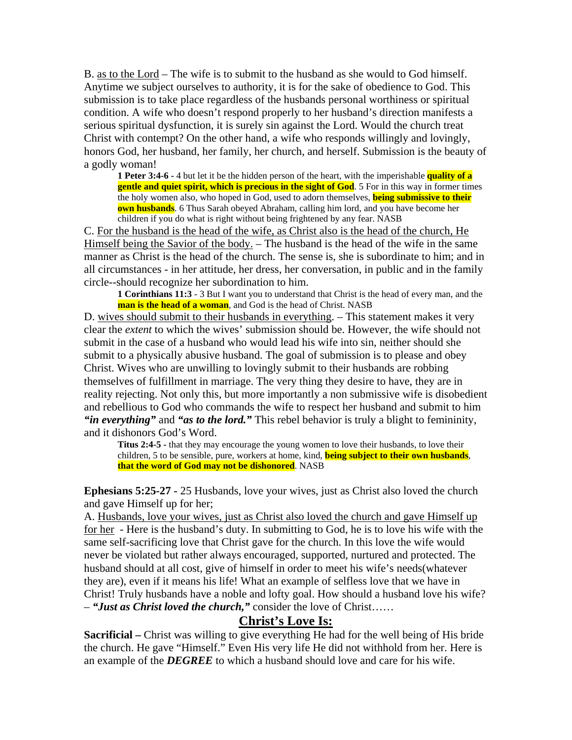B. as to the Lord – The wife is to submit to the husband as she would to God himself. Anytime we subject ourselves to authority, it is for the sake of obedience to God. This submission is to take place regardless of the husbands personal worthiness or spiritual condition. A wife who doesn't respond properly to her husband's direction manifests a serious spiritual dysfunction, it is surely sin against the Lord. Would the church treat Christ with contempt? On the other hand, a wife who responds willingly and lovingly, honors God, her husband, her family, her church, and herself. Submission is the beauty of a godly woman!

**1 Peter 3:4-6 -** 4 but let it be the hidden person of the heart, with the imperishable **quality of a gentle and quiet spirit, which is precious in the sight of God**. 5 For in this way in former times the holy women also, who hoped in God, used to adorn themselves, **being submissive to their own husbands**. 6 Thus Sarah obeyed Abraham, calling him lord, and you have become her children if you do what is right without being frightened by any fear. NASB

C. For the husband is the head of the wife, as Christ also is the head of the church, He Himself being the Savior of the body. – The husband is the head of the wife in the same manner as Christ is the head of the church. The sense is, she is subordinate to him; and in all circumstances - in her attitude, her dress, her conversation, in public and in the family circle--should recognize her subordination to him.

**1 Corinthians 11:3** - 3 But I want you to understand that Christ is the head of every man, and the **man is the head of a woman**, and God is the head of Christ. NASB

D. wives should submit to their husbands in everything. – This statement makes it very clear the *extent* to which the wives' submission should be. However, the wife should not submit in the case of a husband who would lead his wife into sin, neither should she submit to a physically abusive husband. The goal of submission is to please and obey Christ. Wives who are unwilling to lovingly submit to their husbands are robbing themselves of fulfillment in marriage. The very thing they desire to have, they are in reality rejecting. Not only this, but more importantly a non submissive wife is disobedient and rebellious to God who commands the wife to respect her husband and submit to him *"in everything"* and *"as to the lord."* This rebel behavior is truly a blight to femininity, and it dishonors God's Word.

**Titus 2:4-5 -** that they may encourage the young women to love their husbands, to love their children, 5 to be sensible, pure, workers at home, kind, **being subject to their own husbands**, **that the word of God may not be dishonored**. NASB

**Ephesians 5:25-27 -** 25 Husbands, love your wives, just as Christ also loved the church and gave Himself up for her;

A. Husbands, love your wives, just as Christ also loved the church and gave Himself up for her - Here is the husband's duty. In submitting to God, he is to love his wife with the same self-sacrificing love that Christ gave for the church. In this love the wife would never be violated but rather always encouraged, supported, nurtured and protected. The husband should at all cost, give of himself in order to meet his wife's needs(whatever they are), even if it means his life! What an example of selfless love that we have in Christ! Truly husbands have a noble and lofty goal. How should a husband love his wife? – *"Just as Christ loved the church,"* consider the love of Christ……

## **Christ's Love Is:**

**Sacrificial** – Christ was willing to give everything He had for the well being of His bride the church. He gave "Himself." Even His very life He did not withhold from her. Here is an example of the *DEGREE* to which a husband should love and care for his wife.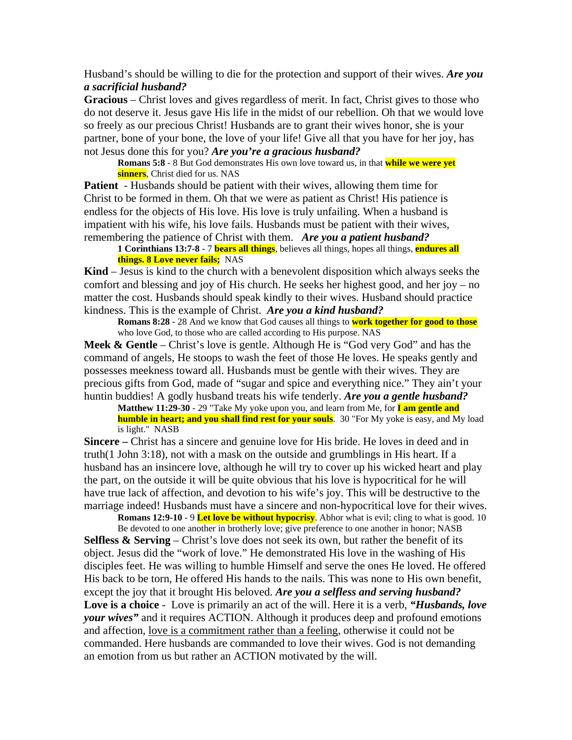Husband's should be willing to die for the protection and support of their wives. *Are you a sacrificial husband?* 

**Gracious** – Christ loves and gives regardless of merit. In fact, Christ gives to those who do not deserve it. Jesus gave His life in the midst of our rebellion. Oh that we would love so freely as our precious Christ! Husbands are to grant their wives honor, she is your partner, bone of your bone, the love of your life! Give all that you have for her joy, has not Jesus done this for you? *Are you're a gracious husband?*

**Romans 5:8** - 8 But God demonstrates His own love toward us, in that **while we were yet sinners**, Christ died for us. NAS

**Patient** - Husbands should be patient with their wives, allowing them time for Christ to be formed in them. Oh that we were as patient as Christ! His patience is endless for the objects of His love. His love is truly unfailing. When a husband is impatient with his wife, his love fails. Husbands must be patient with their wives, remembering the patience of Christ with them. *Are you a patient husband?*

**1 Corinthians 13:7-8** - 7 **bears all things**, believes all things, hopes all things, **endures all things. 8 Love never fails;** NAS

**Kind** – Jesus is kind to the church with a benevolent disposition which always seeks the comfort and blessing and joy of His church. He seeks her highest good, and her joy – no matter the cost. Husbands should speak kindly to their wives. Husband should practice kindness. This is the example of Christ. *Are you a kind husband?*

**Romans 8:28** - 28 And we know that God causes all things to **work together for good to those** who love God, to those who are called according to His purpose. NAS

**Meek & Gentle** – Christ's love is gentle. Although He is "God very God" and has the command of angels, He stoops to wash the feet of those He loves. He speaks gently and possesses meekness toward all. Husbands must be gentle with their wives. They are precious gifts from God, made of "sugar and spice and everything nice." They ain't your huntin buddies! A godly husband treats his wife tenderly. *Are you a gentle husband?* 

**Matthew 11:29-30** - 29 "Take My yoke upon you, and learn from Me, for **I am gentle and humble in heart; and you shall find rest for your souls**. 30 "For My yoke is easy, and My load is light." NASB

**Sincere** – Christ has a sincere and genuine love for His bride. He loves in deed and in truth(1 John 3:18), not with a mask on the outside and grumblings in His heart. If a husband has an insincere love, although he will try to cover up his wicked heart and play the part, on the outside it will be quite obvious that his love is hypocritical for he will have true lack of affection, and devotion to his wife's joy. This will be destructive to the marriage indeed! Husbands must have a sincere and non-hypocritical love for their wives.

**Romans 12:9-10** - 9 **Let love be without hypocrisy**. Abhor what is evil; cling to what is good. 10 Be devoted to one another in brotherly love; give preference to one another in honor; NASB **Selfless & Serving** – Christ's love does not seek its own, but rather the benefit of its object. Jesus did the "work of love." He demonstrated His love in the washing of His disciples feet. He was willing to humble Himself and serve the ones He loved. He offered His back to be torn, He offered His hands to the nails. This was none to His own benefit, except the joy that it brought His beloved. *Are you a selfless and serving husband?* **Love is a choice** - Love is primarily an act of the will. Here it is a verb, *"Husbands, love your wives"* and it requires ACTION. Although it produces deep and profound emotions and affection, love is a commitment rather than a feeling, otherwise it could not be commanded. Here husbands are commanded to love their wives. God is not demanding an emotion from us but rather an ACTION motivated by the will.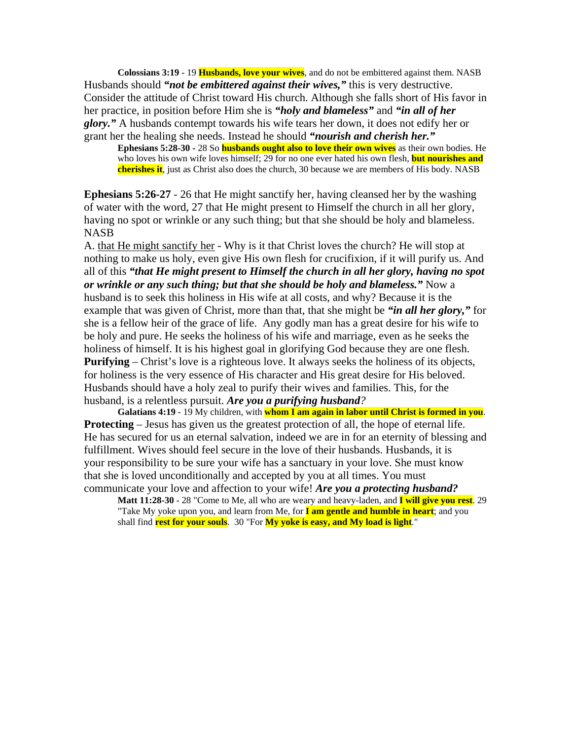**Colossians 3:19** - 19 **Husbands, love your wives**, and do not be embittered against them. NASB Husbands should *"not be embittered against their wives,"* this is very destructive. Consider the attitude of Christ toward His church. Although she falls short of His favor in her practice, in position before Him she is *"holy and blameless"* and *"in all of her glory."* A husbands contempt towards his wife tears her down, it does not edify her or grant her the healing she needs. Instead he should *"nourish and cherish her."*

**Ephesians 5:28-30 -** 28 So **husbands ought also to love their own wives** as their own bodies. He who loves his own wife loves himself; 29 for no one ever hated his own flesh, **but nourishes and cherishes it**, just as Christ also does the church, 30 because we are members of His body. NASB

**Ephesians 5:26-27** - 26 that He might sanctify her, having cleansed her by the washing of water with the word, 27 that He might present to Himself the church in all her glory, having no spot or wrinkle or any such thing; but that she should be holy and blameless. NASB

A. that He might sanctify her - Why is it that Christ loves the church? He will stop at nothing to make us holy, even give His own flesh for crucifixion, if it will purify us. And all of this *"that He might present to Himself the church in all her glory, having no spot or wrinkle or any such thing; but that she should be holy and blameless."* Now a husband is to seek this holiness in His wife at all costs, and why? Because it is the example that was given of Christ, more than that, that she might be *"in all her glory,"* for she is a fellow heir of the grace of life. Any godly man has a great desire for his wife to be holy and pure. He seeks the holiness of his wife and marriage, even as he seeks the holiness of himself. It is his highest goal in glorifying God because they are one flesh. **Purifying** – Christ's love is a righteous love. It always seeks the holiness of its objects, for holiness is the very essence of His character and His great desire for His beloved. Husbands should have a holy zeal to purify their wives and families. This, for the husband, is a relentless pursuit. *Are you a purifying husband?* 

**Galatians 4:19** - 19 My children, with **whom I am again in labor until Christ is formed in you**. **Protecting** – Jesus has given us the greatest protection of all, the hope of eternal life. He has secured for us an eternal salvation, indeed we are in for an eternity of blessing and fulfillment. Wives should feel secure in the love of their husbands. Husbands, it is your responsibility to be sure your wife has a sanctuary in your love. She must know that she is loved unconditionally and accepted by you at all times. You must communicate your love and affection to your wife! *Are you a protecting husband?*

**Matt 11:28-30** - 28 "Come to Me, all who are weary and heavy-laden, and **I will give you rest**. 29 "Take My yoke upon you, and learn from Me, for **I am gentle and humble in heart**; and you shall find **rest for your souls**. 30 "For **My yoke is easy, and My load is light**."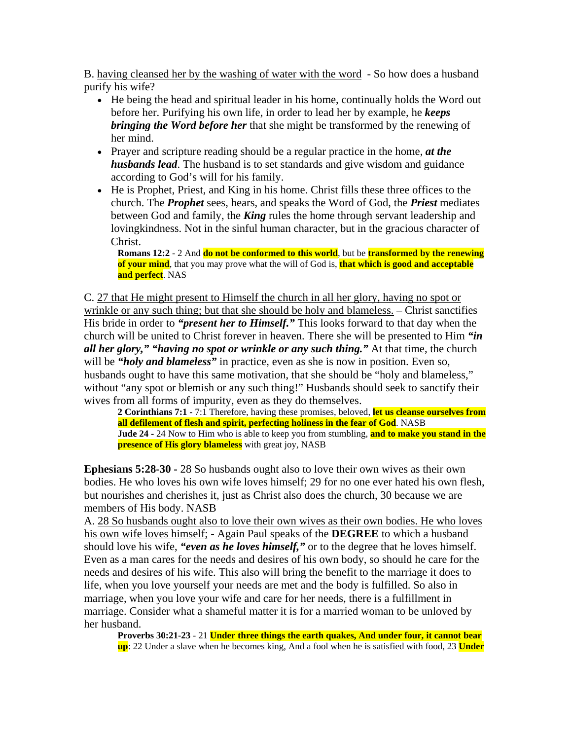B. having cleansed her by the washing of water with the word - So how does a husband purify his wife?

- He being the head and spiritual leader in his home, continually holds the Word out before her. Purifying his own life, in order to lead her by example, he *keeps bringing the Word before her* that she might be transformed by the renewing of her mind.
- Prayer and scripture reading should be a regular practice in the home, *at the husbands lead*. The husband is to set standards and give wisdom and guidance according to God's will for his family.
- He is Prophet, Priest, and King in his home. Christ fills these three offices to the church. The *Prophet* sees, hears, and speaks the Word of God, the *Priest* mediates between God and family, the *King* rules the home through servant leadership and lovingkindness. Not in the sinful human character, but in the gracious character of Christ.

**Romans 12:2** - 2 And **do not be conformed to this world**, but be **transformed by the renewing of your mind**, that you may prove what the will of God is, **that which is good and acceptable and perfect**. NAS

C. 27 that He might present to Himself the church in all her glory, having no spot or wrinkle or any such thing; but that she should be holy and blameless. – Christ sanctifies His bride in order to *"present her to Himself."* This looks forward to that day when the church will be united to Christ forever in heaven. There she will be presented to Him *"in all her glory," "having no spot or wrinkle or any such thing."* At that time, the church will be *"holy and blameless"* in practice, even as she is now in position. Even so, husbands ought to have this same motivation, that she should be "holy and blameless," without "any spot or blemish or any such thing!" Husbands should seek to sanctify their wives from all forms of impurity, even as they do themselves.

**2 Corinthians 7:1 -** 7:1 Therefore, having these promises, beloved, **let us cleanse ourselves from all defilement of flesh and spirit, perfecting holiness in the fear of God**. NASB **Jude 24 -** 24 Now to Him who is able to keep you from stumbling, **and to make you stand in the presence of His glory blameless** with great joy, NASB

**Ephesians 5:28-30 -** 28 So husbands ought also to love their own wives as their own bodies. He who loves his own wife loves himself; 29 for no one ever hated his own flesh, but nourishes and cherishes it, just as Christ also does the church, 30 because we are members of His body. NASB

A. 28 So husbands ought also to love their own wives as their own bodies. He who loves his own wife loves himself; - Again Paul speaks of the **DEGREE** to which a husband should love his wife, *"even as he loves himself,"* or to the degree that he loves himself. Even as a man cares for the needs and desires of his own body, so should he care for the needs and desires of his wife. This also will bring the benefit to the marriage it does to life, when you love yourself your needs are met and the body is fulfilled. So also in marriage, when you love your wife and care for her needs, there is a fulfillment in marriage. Consider what a shameful matter it is for a married woman to be unloved by her husband.

**Proverbs 30:21-23** - 21 **Under three things the earth quakes, And under four, it cannot bear up**: 22 Under a slave when he becomes king, And a fool when he is satisfied with food, 23 **Under**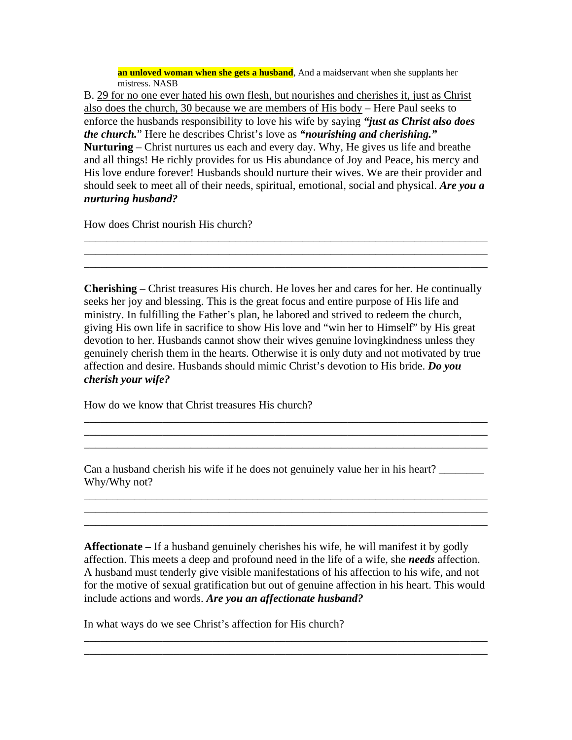**an unloved woman when she gets a husband**, And a maidservant when she supplants her mistress. NASB

B. 29 for no one ever hated his own flesh, but nourishes and cherishes it, just as Christ also does the church, 30 because we are members of His body – Here Paul seeks to enforce the husbands responsibility to love his wife by saying *"just as Christ also does the church.*" Here he describes Christ's love as *"nourishing and cherishing."* **Nurturing** – Christ nurtures us each and every day. Why, He gives us life and breathe and all things! He richly provides for us His abundance of Joy and Peace, his mercy and His love endure forever! Husbands should nurture their wives. We are their provider and should seek to meet all of their needs, spiritual, emotional, social and physical. *Are you a nurturing husband?* 

\_\_\_\_\_\_\_\_\_\_\_\_\_\_\_\_\_\_\_\_\_\_\_\_\_\_\_\_\_\_\_\_\_\_\_\_\_\_\_\_\_\_\_\_\_\_\_\_\_\_\_\_\_\_\_\_\_\_\_\_\_\_\_\_\_\_\_\_\_\_\_\_ \_\_\_\_\_\_\_\_\_\_\_\_\_\_\_\_\_\_\_\_\_\_\_\_\_\_\_\_\_\_\_\_\_\_\_\_\_\_\_\_\_\_\_\_\_\_\_\_\_\_\_\_\_\_\_\_\_\_\_\_\_\_\_\_\_\_\_\_\_\_\_\_ \_\_\_\_\_\_\_\_\_\_\_\_\_\_\_\_\_\_\_\_\_\_\_\_\_\_\_\_\_\_\_\_\_\_\_\_\_\_\_\_\_\_\_\_\_\_\_\_\_\_\_\_\_\_\_\_\_\_\_\_\_\_\_\_\_\_\_\_\_\_\_\_

How does Christ nourish His church?

**Cherishing** – Christ treasures His church. He loves her and cares for her. He continually seeks her joy and blessing. This is the great focus and entire purpose of His life and ministry. In fulfilling the Father's plan, he labored and strived to redeem the church, giving His own life in sacrifice to show His love and "win her to Himself" by His great devotion to her. Husbands cannot show their wives genuine lovingkindness unless they genuinely cherish them in the hearts. Otherwise it is only duty and not motivated by true affection and desire. Husbands should mimic Christ's devotion to His bride. *Do you cherish your wife?* 

\_\_\_\_\_\_\_\_\_\_\_\_\_\_\_\_\_\_\_\_\_\_\_\_\_\_\_\_\_\_\_\_\_\_\_\_\_\_\_\_\_\_\_\_\_\_\_\_\_\_\_\_\_\_\_\_\_\_\_\_\_\_\_\_\_\_\_\_\_\_\_\_ \_\_\_\_\_\_\_\_\_\_\_\_\_\_\_\_\_\_\_\_\_\_\_\_\_\_\_\_\_\_\_\_\_\_\_\_\_\_\_\_\_\_\_\_\_\_\_\_\_\_\_\_\_\_\_\_\_\_\_\_\_\_\_\_\_\_\_\_\_\_\_\_ \_\_\_\_\_\_\_\_\_\_\_\_\_\_\_\_\_\_\_\_\_\_\_\_\_\_\_\_\_\_\_\_\_\_\_\_\_\_\_\_\_\_\_\_\_\_\_\_\_\_\_\_\_\_\_\_\_\_\_\_\_\_\_\_\_\_\_\_\_\_\_\_

How do we know that Christ treasures His church?

Can a husband cherish his wife if he does not genuinely value her in his heart? Why/Why not?

\_\_\_\_\_\_\_\_\_\_\_\_\_\_\_\_\_\_\_\_\_\_\_\_\_\_\_\_\_\_\_\_\_\_\_\_\_\_\_\_\_\_\_\_\_\_\_\_\_\_\_\_\_\_\_\_\_\_\_\_\_\_\_\_\_\_\_\_\_\_\_\_ \_\_\_\_\_\_\_\_\_\_\_\_\_\_\_\_\_\_\_\_\_\_\_\_\_\_\_\_\_\_\_\_\_\_\_\_\_\_\_\_\_\_\_\_\_\_\_\_\_\_\_\_\_\_\_\_\_\_\_\_\_\_\_\_\_\_\_\_\_\_\_\_ \_\_\_\_\_\_\_\_\_\_\_\_\_\_\_\_\_\_\_\_\_\_\_\_\_\_\_\_\_\_\_\_\_\_\_\_\_\_\_\_\_\_\_\_\_\_\_\_\_\_\_\_\_\_\_\_\_\_\_\_\_\_\_\_\_\_\_\_\_\_\_\_

**Affectionate –** If a husband genuinely cherishes his wife, he will manifest it by godly affection. This meets a deep and profound need in the life of a wife, she *needs* affection. A husband must tenderly give visible manifestations of his affection to his wife, and not for the motive of sexual gratification but out of genuine affection in his heart. This would include actions and words. *Are you an affectionate husband?* 

\_\_\_\_\_\_\_\_\_\_\_\_\_\_\_\_\_\_\_\_\_\_\_\_\_\_\_\_\_\_\_\_\_\_\_\_\_\_\_\_\_\_\_\_\_\_\_\_\_\_\_\_\_\_\_\_\_\_\_\_\_\_\_\_\_\_\_\_\_\_\_\_ \_\_\_\_\_\_\_\_\_\_\_\_\_\_\_\_\_\_\_\_\_\_\_\_\_\_\_\_\_\_\_\_\_\_\_\_\_\_\_\_\_\_\_\_\_\_\_\_\_\_\_\_\_\_\_\_\_\_\_\_\_\_\_\_\_\_\_\_\_\_\_\_

In what ways do we see Christ's affection for His church?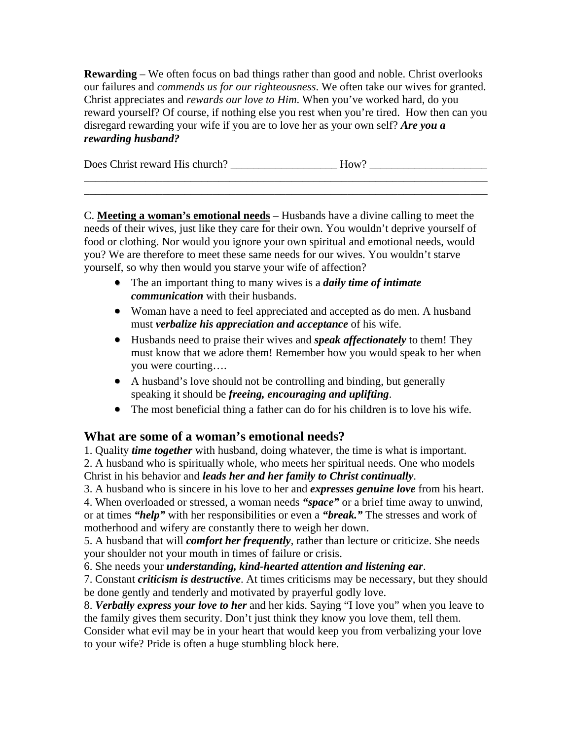**Rewarding** – We often focus on bad things rather than good and noble. Christ overlooks our failures and *commends us for our righteousness*. We often take our wives for granted. Christ appreciates and *rewards our love to Him*. When you've worked hard, do you reward yourself? Of course, if nothing else you rest when you're tired. How then can you disregard rewarding your wife if you are to love her as your own self? *Are you a rewarding husband?* 

| Does Christ reward His church? | $How^{\circ}$ |
|--------------------------------|---------------|
|                                |               |

\_\_\_\_\_\_\_\_\_\_\_\_\_\_\_\_\_\_\_\_\_\_\_\_\_\_\_\_\_\_\_\_\_\_\_\_\_\_\_\_\_\_\_\_\_\_\_\_\_\_\_\_\_\_\_\_\_\_\_\_\_\_\_\_\_\_\_\_\_\_\_\_

C. **Meeting a woman's emotional needs** – Husbands have a divine calling to meet the needs of their wives, just like they care for their own. You wouldn't deprive yourself of food or clothing. Nor would you ignore your own spiritual and emotional needs, would you? We are therefore to meet these same needs for our wives. You wouldn't starve yourself, so why then would you starve your wife of affection?

- The an important thing to many wives is a *daily time of intimate communication* with their husbands.
- Woman have a need to feel appreciated and accepted as do men. A husband must *verbalize his appreciation and acceptance* of his wife.
- Husbands need to praise their wives and *speak affectionately* to them! They must know that we adore them! Remember how you would speak to her when you were courting….
- A husband's love should not be controlling and binding, but generally speaking it should be *freeing, encouraging and uplifting*.
- The most beneficial thing a father can do for his children is to love his wife.

# **What are some of a woman's emotional needs?**

1. Quality *time together* with husband, doing whatever, the time is what is important. 2. A husband who is spiritually whole, who meets her spiritual needs. One who models

Christ in his behavior and *leads her and her family to Christ continually*.

3. A husband who is sincere in his love to her and *expresses genuine love* from his heart. 4. When overloaded or stressed, a woman needs *"space"* or a brief time away to unwind, or at times *"help"* with her responsibilities or even a *"break."* The stresses and work of motherhood and wifery are constantly there to weigh her down.

5. A husband that will *comfort her frequently*, rather than lecture or criticize. She needs your shoulder not your mouth in times of failure or crisis.

6. She needs your *understanding, kind-hearted attention and listening ear*.

7. Constant *criticism is destructive*. At times criticisms may be necessary, but they should be done gently and tenderly and motivated by prayerful godly love.

8. *Verbally express your love to her* and her kids. Saying "I love you" when you leave to the family gives them security. Don't just think they know you love them, tell them.

Consider what evil may be in your heart that would keep you from verbalizing your love to your wife? Pride is often a huge stumbling block here.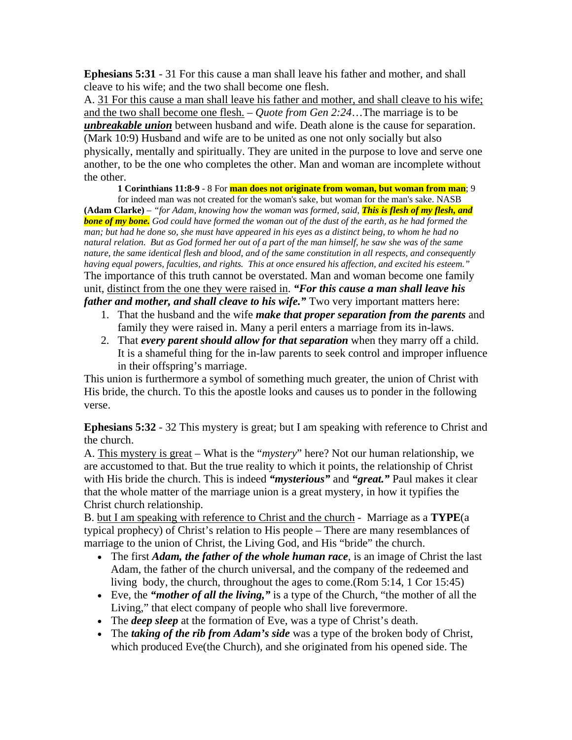**Ephesians 5:31** - 31 For this cause a man shall leave his father and mother, and shall cleave to his wife; and the two shall become one flesh.

A. 31 For this cause a man shall leave his father and mother, and shall cleave to his wife; and the two shall become one flesh. – *Quote from Gen 2:24*…The marriage is to be *unbreakable union* between husband and wife. Death alone is the cause for separation. (Mark 10:9) Husband and wife are to be united as one not only socially but also physically, mentally and spiritually. They are united in the purpose to love and serve one another, to be the one who completes the other. Man and woman are incomplete without the other.

**1 Corinthians 11:8-9** - 8 For **man does not originate from woman, but woman from man**; 9

for indeed man was not created for the woman's sake, but woman for the man's sake. NASB **(Adam Clarke)** – *"for Adam, knowing how the woman was formed, said, This is flesh of my flesh, and bone of my bone. God could have formed the woman out of the dust of the earth, as he had formed the man; but had he done so, she must have appeared in his eyes as a distinct being, to whom he had no natural relation. But as God formed her out of a part of the man himself, he saw she was of the same nature, the same identical flesh and blood, and of the same constitution in all respects, and consequently having equal powers, faculties, and rights. This at once ensured his affection, and excited his esteem."* The importance of this truth cannot be overstated. Man and woman become one family unit, distinct from the one they were raised in. *"For this cause a man shall leave his father and mother, and shall cleave to his wife."* Two very important matters here:

- 1. That the husband and the wife *make that proper separation from the parents* and family they were raised in. Many a peril enters a marriage from its in-laws.
- 2. That *every parent should allow for that separation* when they marry off a child. It is a shameful thing for the in-law parents to seek control and improper influence in their offspring's marriage.

This union is furthermore a symbol of something much greater, the union of Christ with His bride, the church. To this the apostle looks and causes us to ponder in the following verse.

**Ephesians 5:32** - 32 This mystery is great; but I am speaking with reference to Christ and the church.

A. This mystery is great – What is the "*mystery*" here? Not our human relationship, we are accustomed to that. But the true reality to which it points, the relationship of Christ with His bride the church. This is indeed *"mysterious"* and *"great."* Paul makes it clear that the whole matter of the marriage union is a great mystery, in how it typifies the Christ church relationship.

B. but I am speaking with reference to Christ and the church - Marriage as a **TYPE**(a typical prophecy) of Christ's relation to His people – There are many resemblances of marriage to the union of Christ, the Living God, and His "bride" the church.

- The first *Adam, the father of the whole human race*, is an image of Christ the last Adam, the father of the church universal, and the company of the redeemed and living body, the church, throughout the ages to come.(Rom 5:14, 1 Cor 15:45)
- Eve, the *"mother of all the living,"* is a type of the Church, "the mother of all the Living," that elect company of people who shall live forevermore.
- The *deep sleep* at the formation of Eve, was a type of Christ's death.
- The *taking of the rib from Adam's side* was a type of the broken body of Christ, which produced Eve(the Church), and she originated from his opened side. The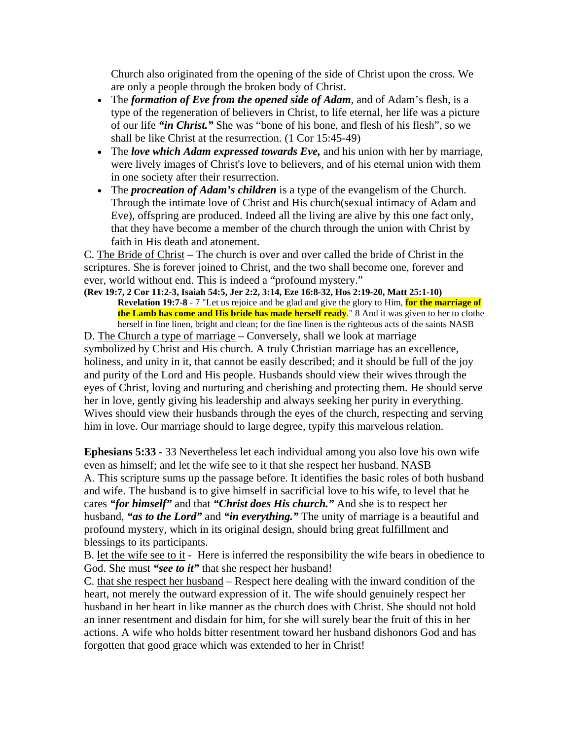Church also originated from the opening of the side of Christ upon the cross. We are only a people through the broken body of Christ.

- The *formation of Eve from the opened side of Adam*, and of Adam's flesh, is a type of the regeneration of believers in Christ, to life eternal, her life was a picture of our life *"in Christ."* She was "bone of his bone, and flesh of his flesh", so we shall be like Christ at the resurrection. (1 Cor 15:45-49)
- The *love which Adam expressed towards Eve,* and his union with her by marriage, were lively images of Christ's love to believers, and of his eternal union with them in one society after their resurrection.
- The *procreation of Adam's children* is a type of the evangelism of the Church. Through the intimate love of Christ and His church(sexual intimacy of Adam and Eve), offspring are produced. Indeed all the living are alive by this one fact only, that they have become a member of the church through the union with Christ by faith in His death and atonement.

C. The Bride of Christ – The church is over and over called the bride of Christ in the scriptures. She is forever joined to Christ, and the two shall become one, forever and ever, world without end. This is indeed a "profound mystery."

**(Rev 19:7, 2 Cor 11:2-3, Isaiah 54:5, Jer 2:2, 3:14, Eze 16:8-32, Hos 2:19-20, Matt 25:1-10) Revelation 19:7-8** - 7 "Let us rejoice and be glad and give the glory to Him, **for the marriage of the Lamb has come and His bride has made herself ready**." 8 And it was given to her to clothe herself in fine linen, bright and clean; for the fine linen is the righteous acts of the saints NASB

D. The Church a type of marriage – Conversely, shall we look at marriage symbolized by Christ and His church. A truly Christian marriage has an excellence, holiness, and unity in it, that cannot be easily described; and it should be full of the joy and purity of the Lord and His people. Husbands should view their wives through the eyes of Christ, loving and nurturing and cherishing and protecting them. He should serve her in love, gently giving his leadership and always seeking her purity in everything. Wives should view their husbands through the eyes of the church, respecting and serving him in love. Our marriage should to large degree, typify this marvelous relation.

**Ephesians 5:33** - 33 Nevertheless let each individual among you also love his own wife even as himself; and let the wife see to it that she respect her husband. NASB A. This scripture sums up the passage before. It identifies the basic roles of both husband and wife. The husband is to give himself in sacrificial love to his wife, to level that he cares *"for himself"* and that *"Christ does His church."* And she is to respect her husband, *"as to the Lord"* and *"in everything."* The unity of marriage is a beautiful and profound mystery, which in its original design, should bring great fulfillment and blessings to its participants.

B. let the wife see to it - Here is inferred the responsibility the wife bears in obedience to God. She must *"see to it"* that she respect her husband!

C. that she respect her husband – Respect here dealing with the inward condition of the heart, not merely the outward expression of it. The wife should genuinely respect her husband in her heart in like manner as the church does with Christ. She should not hold an inner resentment and disdain for him, for she will surely bear the fruit of this in her actions. A wife who holds bitter resentment toward her husband dishonors God and has forgotten that good grace which was extended to her in Christ!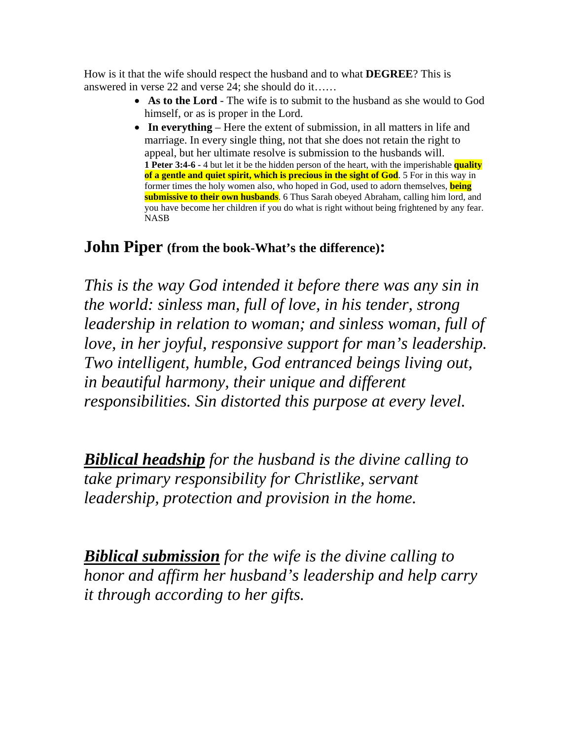How is it that the wife should respect the husband and to what **DEGREE**? This is answered in verse 22 and verse 24; she should do it……

- **As to the Lord** The wife is to submit to the husband as she would to God himself, or as is proper in the Lord.
- **In everything** Here the extent of submission, in all matters in life and marriage. In every single thing, not that she does not retain the right to appeal, but her ultimate resolve is submission to the husbands will. **1 Peter 3:4-6 -** 4 but let it be the hidden person of the heart, with the imperishable **quality of a gentle and quiet spirit, which is precious in the sight of God**. 5 For in this way in former times the holy women also, who hoped in God, used to adorn themselves, **being submissive to their own husbands**. 6 Thus Sarah obeyed Abraham, calling him lord, and you have become her children if you do what is right without being frightened by any fear. NASB

# **John Piper (from the book-What's the difference):**

*This is the way God intended it before there was any sin in the world: sinless man, full of love, in his tender, strong leadership in relation to woman; and sinless woman, full of love, in her joyful, responsive support for man's leadership. Two intelligent, humble, God entranced beings living out, in beautiful harmony, their unique and different responsibilities. Sin distorted this purpose at every level.* 

*Biblical headship for the husband is the divine calling to take primary responsibility for Christlike, servant leadership, protection and provision in the home.* 

*Biblical submission for the wife is the divine calling to honor and affirm her husband's leadership and help carry it through according to her gifts.*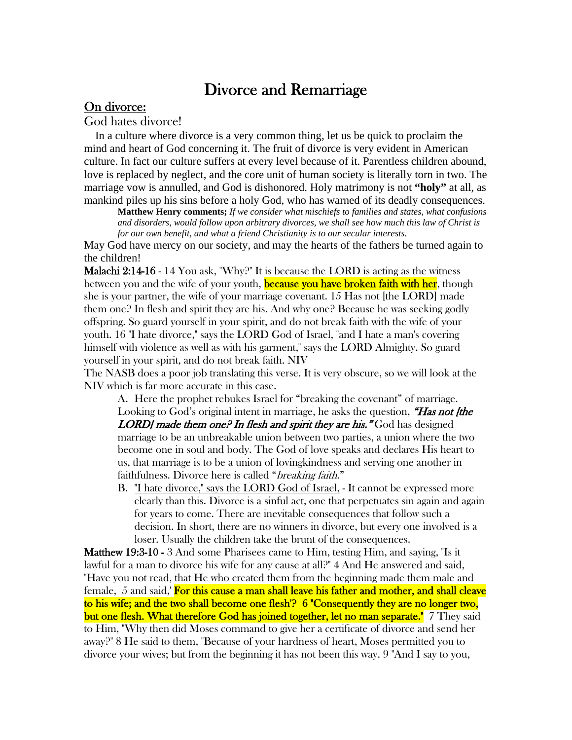# Divorce and Remarriage

## On divorce:

God hates divorce!

 In a culture where divorce is a very common thing, let us be quick to proclaim the mind and heart of God concerning it. The fruit of divorce is very evident in American culture. In fact our culture suffers at every level because of it. Parentless children abound, love is replaced by neglect, and the core unit of human society is literally torn in two. The marriage vow is annulled, and God is dishonored. Holy matrimony is not **"holy"** at all, as mankind piles up his sins before a holy God, who has warned of its deadly consequences.

**Matthew Henry comments;** *If we consider what mischiefs to families and states, what confusions and disorders, would follow upon arbitrary divorces, we shall see how much this law of Christ is for our own benefit, and what a friend Christianity is to our secular interests*.

May God have mercy on our society, and may the hearts of the fathers be turned again to the children!

Malachi 2:14-16 - 14 You ask, "Why?" It is because the LORD is acting as the witness between you and the wife of your youth, **because you have broken faith with her**, though she is your partner, the wife of your marriage covenant. 15 Has not [the LORD] made them one? In flesh and spirit they are his. And why one? Because he was seeking godly offspring. So guard yourself in your spirit, and do not break faith with the wife of your youth. 16 "I hate divorce," says the LORD God of Israel, "and I hate a man's covering himself with violence as well as with his garment," says the LORD Almighty. So guard yourself in your spirit, and do not break faith. NIV

The NASB does a poor job translating this verse. It is very obscure, so we will look at the NIV which is far more accurate in this case.

A. Here the prophet rebukes Israel for "breaking the covenant" of marriage. Looking to God's original intent in marriage, he asks the question, "Has not [the **LORD** made them one? In flesh and spirit they are his." God has designed marriage to be an unbreakable union between two parties, a union where the two become one in soul and body. The God of love speaks and declares His heart to us, that marriage is to be a union of lovingkindness and serving one another in faithfulness. Divorce here is called "*breaking faith.*"

B. Thate divorce," says the LORD God of Israel, - It cannot be expressed more clearly than this. Divorce is a sinful act, one that perpetuates sin again and again for years to come. There are inevitable consequences that follow such a decision. In short, there are no winners in divorce, but every one involved is a loser. Usually the children take the brunt of the consequences.

Matthew 19:3-10 - 3 And some Pharisees came to Him, testing Him, and saying, "Is it lawful for a man to divorce his wife for any cause at all?" 4 And He answered and said, "Have you not read, that He who created them from the beginning made them male and female, 5 and said,' For this cause a man shall leave his father and mother, and shall cleave to his wife; and the two shall become one flesh'? 6 "Consequently they are no longer two, but one flesh. What therefore God has joined together, let no man separate." 7 They said to Him, "Why then did Moses command to give her a certificate of divorce and send her away?" 8 He said to them, "Because of your hardness of heart, Moses permitted you to divorce your wives; but from the beginning it has not been this way. 9 "And I say to you,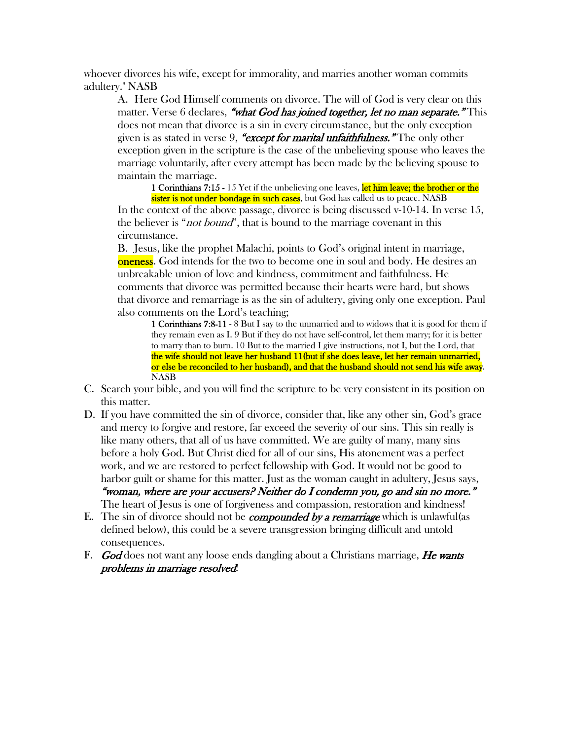whoever divorces his wife, except for immorality, and marries another woman commits adultery." NASB

A. Here God Himself comments on divorce. The will of God is very clear on this matter. Verse 6 declares, "what God has joined together, let no man separate." This does not mean that divorce is a sin in every circumstance, but the only exception given is as stated in verse 9, "except for marital unfaithfulness." The only other exception given in the scripture is the case of the unbelieving spouse who leaves the marriage voluntarily, after every attempt has been made by the believing spouse to maintain the marriage.

1 Corinthians 7:15 - 15 Yet if the unbelieving one leaves, let him leave; the brother or the

sister is not under bondage in such cases, but God has called us to peace. NASB In the context of the above passage, divorce is being discussed v-10-14. In verse 15, the believer is "*not bound*", that is bound to the marriage covenant in this circumstance.

B. Jesus, like the prophet Malachi, points to God's original intent in marriage, **oneness**. God intends for the two to become one in soul and body. He desires an unbreakable union of love and kindness, commitment and faithfulness. He comments that divorce was permitted because their hearts were hard, but shows that divorce and remarriage is as the sin of adultery, giving only one exception. Paul also comments on the Lord's teaching;

1 Corinthians 7:8-11 - 8 But I say to the unmarried and to widows that it is good for them if they remain even as I. 9 But if they do not have self-control, let them marry; for it is better to marry than to burn. 10 But to the married I give instructions, not I, but the Lord, that the wife should not leave her husband 11(but if she does leave, let her remain unmarried, or else be reconciled to her husband), and that the husband should not send his wife away. NASB

- C. Search your bible, and you will find the scripture to be very consistent in its position on this matter.
- D. If you have committed the sin of divorce, consider that, like any other sin, God's grace and mercy to forgive and restore, far exceed the severity of our sins. This sin really is like many others, that all of us have committed. We are guilty of many, many sins before a holy God. But Christ died for all of our sins, His atonement was a perfect work, and we are restored to perfect fellowship with God. It would not be good to harbor guilt or shame for this matter. Just as the woman caught in adultery, Jesus says, "woman, where are your accusers? Neither do I condemn you, go and sin no more." The heart of Jesus is one of forgiveness and compassion, restoration and kindness!
- E. The sin of divorce should not be *compounded by a remarriage* which is unlawful (as defined below), this could be a severe transgression bringing difficult and untold consequences.
- F. God does not want any loose ends dangling about a Christians marriage, He wants problems in marriage resolved!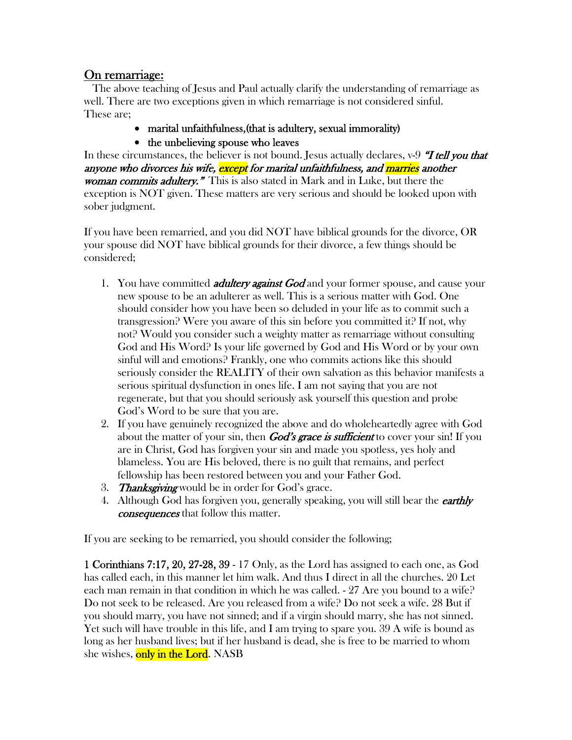# On remarriage:

 The above teaching of Jesus and Paul actually clarify the understanding of remarriage as well. There are two exceptions given in which remarriage is not considered sinful. These are;

- marital unfaithfulness,(that is adultery, sexual immorality)
- the unbelieving spouse who leaves

In these circumstances, the believer is not bound. Jesus actually declares,  $v-9$  *T tell you that* anyone who divorces his wife, except for marital unfaithfulness, and marries another woman commits adultery." This is also stated in Mark and in Luke, but there the exception is NOT given. These matters are very serious and should be looked upon with sober judgment.

If you have been remarried, and you did NOT have biblical grounds for the divorce, OR your spouse did NOT have biblical grounds for their divorce, a few things should be considered;

- 1. You have committed *adultery against God* and your former spouse, and cause your new spouse to be an adulterer as well. This is a serious matter with God. One should consider how you have been so deluded in your life as to commit such a transgression? Were you aware of this sin before you committed it? If not, why not? Would you consider such a weighty matter as remarriage without consulting God and His Word? Is your life governed by God and His Word or by your own sinful will and emotions? Frankly, one who commits actions like this should seriously consider the REALITY of their own salvation as this behavior manifests a serious spiritual dysfunction in ones life. I am not saying that you are not regenerate, but that you should seriously ask yourself this question and probe God's Word to be sure that you are.
- 2. If you have genuinely recognized the above and do wholeheartedly agree with God about the matter of your sin, then **God's grace is sufficient** to cover your sin! If you are in Christ, God has forgiven your sin and made you spotless, yes holy and blameless. You are His beloved, there is no guilt that remains, and perfect fellowship has been restored between you and your Father God.
- 3. **Thanks giving** would be in order for God's grace.
- 4. Although God has forgiven you, generally speaking, you will still bear the *earthly* consequences that follow this matter.

If you are seeking to be remarried, you should consider the following;

1 Corinthians 7:17, 20, 27-28, 39 - 17 Only, as the Lord has assigned to each one, as God has called each, in this manner let him walk. And thus I direct in all the churches. 20 Let each man remain in that condition in which he was called. - 27 Are you bound to a wife? Do not seek to be released. Are you released from a wife? Do not seek a wife. 28 But if you should marry, you have not sinned; and if a virgin should marry, she has not sinned. Yet such will have trouble in this life, and I am trying to spare you. 39 A wife is bound as long as her husband lives; but if her husband is dead, she is free to be married to whom she wishes, only in the Lord. NASB